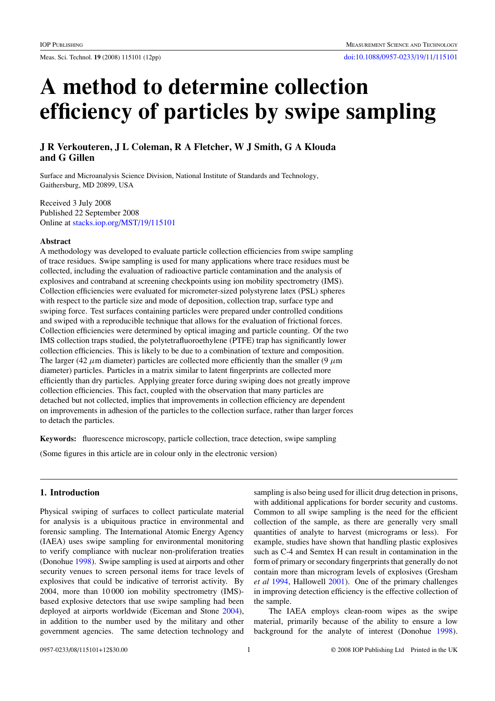# **A method to determine collection efficiency of particles by swipe sampling**

# **J R Verkouteren, J L Coleman, R A Fletcher, W J Smith, G A Klouda and G Gillen**

Surface and Microanalysis Science Division, National Institute of Standards and Technology, Gaithersburg, MD 20899, USA

Received 3 July 2008 Published 22 September 2008 Online at [stacks.iop.org/MST/19/115101](http://stacks.iop.org/MST/19/115101)

# **Abstract**

A methodology was developed to evaluate particle collection efficiencies from swipe sampling of trace residues. Swipe sampling is used for many applications where trace residues must be collected, including the evaluation of radioactive particle contamination and the analysis of explosives and contraband at screening checkpoints using ion mobility spectrometry (IMS). Collection efficiencies were evaluated for micrometer-sized polystyrene latex (PSL) spheres with respect to the particle size and mode of deposition, collection trap, surface type and swiping force. Test surfaces containing particles were prepared under controlled conditions and swiped with a reproducible technique that allows for the evaluation of frictional forces. Collection efficiencies were determined by optical imaging and particle counting. Of the two IMS collection traps studied, the polytetrafluoroethylene (PTFE) trap has significantly lower collection efficiencies. This is likely to be due to a combination of texture and composition. The larger (42 *μ*m diameter) particles are collected more efficiently than the smaller (9 *μ*m diameter) particles. Particles in a matrix similar to latent fingerprints are collected more efficiently than dry particles. Applying greater force during swiping does not greatly improve collection efficiencies. This fact, coupled with the observation that many particles are detached but not collected, implies that improvements in collection efficiency are dependent on improvements in adhesion of the particles to the collection surface, rather than larger forces to detach the particles.

**Keywords:** fluorescence microscopy, particle collection, trace detection, swipe sampling

(Some figures in this article are in colour only in the electronic version)

# **1. Introduction**

Physical swiping of surfaces to collect particulate material for analysis is a ubiquitous practice in environmental and forensic sampling. The International Atomic Energy Agency (IAEA) uses swipe sampling for environmental monitoring to verify compliance with nuclear non-proliferation treaties (Donohue [1998](#page-11-0)). Swipe sampling is used at airports and other security venues to screen personal items for trace levels of explosives that could be indicative of terrorist activity. By 2004, more than 10 000 ion mobility spectrometry (IMS) based explosive detectors that use swipe sampling had been deployed at airports worldwide (Eiceman and Stone [2004](#page-11-0)), in addition to the number used by the military and other government agencies. The same detection technology and

sampling is also being used for illicit drug detection in prisons, with additional applications for border security and customs. Common to all swipe sampling is the need for the efficient collection of the sample, as there are generally very small quantities of analyte to harvest (micrograms or less). For example, studies have shown that handling plastic explosives such as C-4 and Semtex H can result in contamination in the form of primary or secondary fingerprints that generally do not contain more than microgram levels of explosives (Gresham *et al* [1994,](#page-11-0) Hallowell [2001\)](#page-11-0). One of the primary challenges in improving detection efficiency is the effective collection of the sample.

The IAEA employs clean-room wipes as the swipe material, primarily because of the ability to ensure a low background for the analyte of interest (Donohue [1998](#page-11-0)).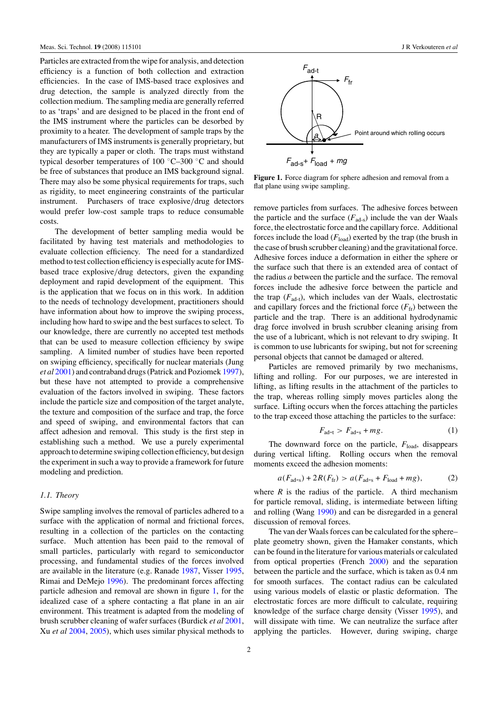<span id="page-1-0"></span>Particles are extracted from the wipe for analysis, and detection efficiency is a function of both collection and extraction efficiencies. In the case of IMS-based trace explosives and drug detection, the sample is analyzed directly from the collection medium. The sampling media are generally referred to as 'traps' and are designed to be placed in the front end of the IMS instrument where the particles can be desorbed by proximity to a heater. The development of sample traps by the manufacturers of IMS instruments is generally proprietary, but they are typically a paper or cloth. The traps must withstand typical desorber temperatures of 100 ◦C–300 ◦C and should be free of substances that produce an IMS background signal. There may also be some physical requirements for traps, such as rigidity, to meet engineering constraints of the particular instrument. Purchasers of trace explosive*/*drug detectors would prefer low-cost sample traps to reduce consumable costs.

The development of better sampling media would be facilitated by having test materials and methodologies to evaluate collection efficiency. The need for a standardized method to test collection efficiency is especially acute for IMSbased trace explosive*/*drug detectors, given the expanding deployment and rapid development of the equipment. This is the application that we focus on in this work. In addition to the needs of technology development, practitioners should have information about how to improve the swiping process, including how hard to swipe and the best surfaces to select. To our knowledge, there are currently no accepted test methods that can be used to measure collection efficiency by swipe sampling. A limited number of studies have been reported on swiping efficiency, specifically for nuclear materials (Jung *et al* [2001](#page-11-0)) and contraband drugs (Patrick and Poziomek [1997](#page-11-0)), but these have not attempted to provide a comprehensive evaluation of the factors involved in swiping. These factors include the particle size and composition of the target analyte, the texture and composition of the surface and trap, the force and speed of swiping, and environmental factors that can affect adhesion and removal. This study is the first step in establishing such a method. We use a purely experimental approach to determine swiping collection efficiency, but design the experiment in such a way to provide a framework for future modeling and prediction.

#### *1.1. Theory*

Swipe sampling involves the removal of particles adhered to a surface with the application of normal and frictional forces, resulting in a collection of the particles on the contacting surface. Much attention has been paid to the removal of small particles, particularly with regard to semiconductor processing, and fundamental studies of the forces involved are available in the literature (e.g. Ranade [1987](#page-11-0), Visser [1995,](#page-11-0) Rimai and DeMejo [1996](#page-11-0)). The predominant forces affecting particle adhesion and removal are shown in figure 1, for the idealized case of a sphere contacting a flat plane in an air environment. This treatment is adapted from the modeling of brush scrubber cleaning of wafer surfaces (Burdick *et al* [2001,](#page-11-0) Xu *et al* [2004,](#page-11-0) [2005\)](#page-11-0), which uses similar physical methods to



**Figure 1.** Force diagram for sphere adhesion and removal from a flat plane using swipe sampling.

remove particles from surfaces. The adhesive forces between the particle and the surface  $(F_{\text{ad-s}})$  include the van der Waals force, the electrostatic force and the capillary force. Additional forces include the load  $(F_{load})$  exerted by the trap (the brush in the case of brush scrubber cleaning) and the gravitational force. Adhesive forces induce a deformation in either the sphere or the surface such that there is an extended area of contact of the radius *a* between the particle and the surface. The removal forces include the adhesive force between the particle and the trap  $(F_{ad-t})$ , which includes van der Waals, electrostatic and capillary forces and the frictional force  $(F<sub>fr</sub>)$  between the particle and the trap. There is an additional hydrodynamic drag force involved in brush scrubber cleaning arising from the use of a lubricant, which is not relevant to dry swiping. It is common to use lubricants for swiping, but not for screening personal objects that cannot be damaged or altered.

Particles are removed primarily by two mechanisms, lifting and rolling. For our purposes, we are interested in lifting, as lifting results in the attachment of the particles to the trap, whereas rolling simply moves particles along the surface. Lifting occurs when the forces attaching the particles to the trap exceed those attaching the particles to the surface:

$$
F_{\text{ad-t}} > F_{\text{ad-s}} + mg. \tag{1}
$$

The downward force on the particle,  $F_{load}$ , disappears during vertical lifting. Rolling occurs when the removal moments exceed the adhesion moments:

$$
a(Fad-s) + 2R(Ffr) > a(Fad-s + Fload + mg),
$$
 (2)

where  $R$  is the radius of the particle. A third mechanism for particle removal, sliding, is intermediate between lifting and rolling (Wang [1990](#page-11-0)) and can be disregarded in a general discussion of removal forces.

The van der Waals forces can be calculated for the sphere– plate geometry shown, given the Hamaker constants, which can be found in the literature for various materials or calculated from optical properties (French [2000\)](#page-11-0) and the separation between the particle and the surface, which is taken as 0.4 nm for smooth surfaces. The contact radius can be calculated using various models of elastic or plastic deformation. The electrostatic forces are more difficult to calculate, requiring knowledge of the surface charge density (Visser [1995](#page-11-0)), and will dissipate with time. We can neutralize the surface after applying the particles. However, during swiping, charge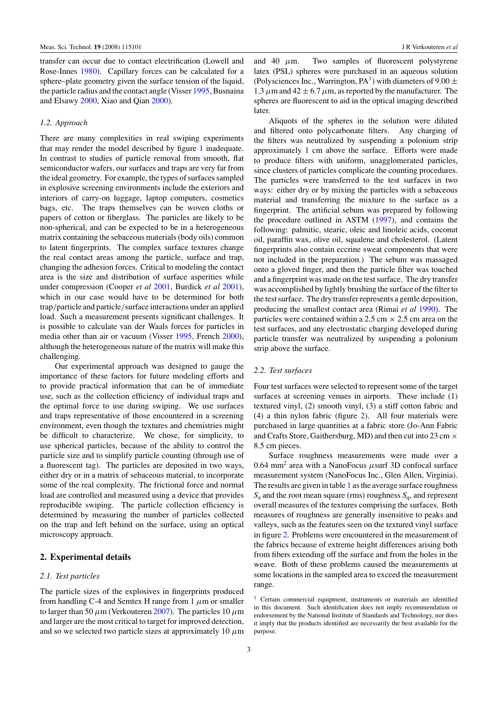transfer can occur due to contact electrification (Lowell and Rose-Innes [1980\)](#page-11-0). Capillary forces can be calculated for a sphere–plate geometry given the surface tension of the liquid, the particle radius and the contact angle (Visser [1995,](#page-11-0) Busnaina and Elsawy [2000,](#page-11-0) Xiao and Qian [2000](#page-11-0)).

#### *1.2. Approach*

There are many complexities in real swiping experiments that may render the model described by figure [1](#page-1-0) inadequate. In contrast to studies of particle removal from smooth, flat semiconductor wafers, our surfaces and traps are very far from the ideal geometry. For example, the types of surfaces sampled in explosive screening environments include the exteriors and interiors of carry-on luggage, laptop computers, cosmetics bags, etc. The traps themselves can be woven cloths or papers of cotton or fiberglass. The particles are likely to be non-spherical, and can be expected to be in a heterogeneous matrix containing the sebaceous materials (body oils) common to latent fingerprints. The complex surface textures change the real contact areas among the particle, surface and trap, changing the adhesion forces. Critical to modeling the contact area is the size and distribution of surface asperities while under compression (Cooper *et al* [2001,](#page-11-0) Burdick *et al* [2001](#page-11-0)), which in our case would have to be determined for both trap*/*particle and particle*/*surface interactions under an applied load. Such a measurement presents significant challenges. It is possible to calculate van der Waals forces for particles in media other than air or vacuum (Visser [1995,](#page-11-0) French [2000](#page-11-0)), although the heterogeneous nature of the matrix will make this challenging.

Our experimental approach was designed to gauge the importance of these factors for future modeling efforts and to provide practical information that can be of immediate use, such as the collection efficiency of individual traps and the optimal force to use during swiping. We use surfaces and traps representative of those encountered in a screening environment, even though the textures and chemistries might be difficult to characterize. We chose, for simplicity, to use spherical particles, because of the ability to control the particle size and to simplify particle counting (through use of a fluorescent tag). The particles are deposited in two ways, either dry or in a matrix of sebaceous material, to incorporate some of the real complexity. The frictional force and normal load are controlled and measured using a device that provides reproducible swiping. The particle collection efficiency is determined by measuring the number of particles collected on the trap and left behind on the surface, using an optical microscopy approach.

#### **2. Experimental details**

#### *2.1. Test particles*

The particle sizes of the explosives in fingerprints produced from handling C-4 and Semtex H range from 1 *μ*m or smaller to larger than 50 *μ*m (Verkouteren [2007](#page-11-0)). The particles 10 *μ*m and larger are the most critical to target for improved detection, and so we selected two particle sizes at approximately 10 *μ*m and 40  $\mu$ m. Two samples of fluorescent polystyrene latex (PSL) spheres were purchased in an aqueous solution (Polysciences Inc., Warrington, PA<sup>1</sup>) with diameters of 9.00  $\pm$ 1.3  $\mu$ m and 42  $\pm$  6.7  $\mu$ m, as reported by the manufacturer. The spheres are fluorescent to aid in the optical imaging described later.

Aliquots of the spheres in the solution were diluted and filtered onto polycarbonate filters. Any charging of the filters was neutralized by suspending a polonium strip approximately 1 cm above the surface. Efforts were made to produce filters with uniform, unagglomerated particles, since clusters of particles complicate the counting procedures. The particles were transferred to the test surfaces in two ways: either dry or by mixing the particles with a sebaceous material and transferring the mixture to the surface as a fingerprint. The artificial sebum was prepared by following the procedure outlined in ASTM [\(1997\)](#page-11-0), and contains the following: palmitic, stearic, oleic and linoleic acids, coconut oil, paraffin wax, olive oil, squalene and cholesterol. (Latent fingerprints also contain eccrine sweat components that were not included in the preparation.) The sebum was massaged onto a gloved finger, and then the particle filter was touched and a fingerprint was made on the test surface. The dry transfer was accomplished by lightly brushing the surface of the filter to the test surface. The dry transfer represents a gentle deposition, producing the smallest contact area (Rimai *et al* [1990](#page-11-0)). The particles were contained within a 2.5 cm  $\times$  2.5 cm area on the test surfaces, and any electrostatic charging developed during particle transfer was neutralized by suspending a polonium strip above the surface.

#### *2.2. Test surfaces*

Four test surfaces were selected to represent some of the target surfaces at screening venues in airports. These include  $(1)$ textured vinyl, (2) smooth vinyl, (3) a stiff cotton fabric and (4) a thin nylon fabric (figure [2\)](#page-3-0). All four materials were purchased in large quantities at a fabric store (Jo-Ann Fabric and Crafts Store, Gaithersburg, MD) and then cut into 23 cm  $\times$ 8.5 cm pieces.

Surface roughness measurements were made over a 0.64 mm2 area with a NanoFocus *μ*surf 3D confocal surface measurement system (NanoFocus Inc., Glen Allen, Virginia). The results are given in table [1](#page-3-0) as the average surface roughness *S*<sup>a</sup> and the root mean square (rms) roughness *S*q, and represent overall measures of the textures comprising the surfaces. Both measures of roughness are generally insensitive to peaks and valleys, such as the features seen on the textured vinyl surface in figure [2.](#page-3-0) Problems were encountered in the measurement of the fabrics because of extreme height differences arising both from fibers extending off the surface and from the holes in the weave. Both of these problems caused the measurements at some locations in the sampled area to exceed the measurement range.

<sup>&</sup>lt;sup>1</sup> Certain commercial equipment, instruments or materials are identified in this document. Such identification does not imply recommendation or endorsement by the National Institute of Standards and Technology, nor does it imply that the products identified are necessarily the best available for the purpose.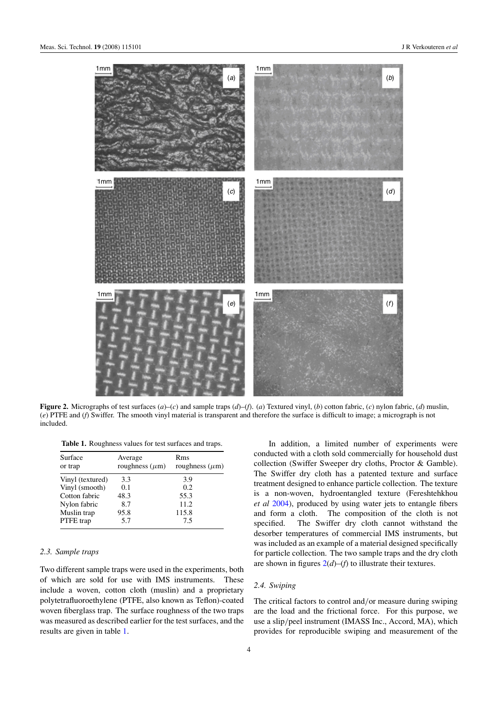<span id="page-3-0"></span>

**Figure 2.** Micrographs of test surfaces  $(a)$ –(*c*) and sample traps  $(d)$ –(*f*).  $(a)$  Textured vinyl,  $(b)$  cotton fabric,  $(c)$  nylon fabric,  $(d)$  muslin, (*e*) PTFE and (*f*) Swiffer. The smooth vinyl material is transparent and therefore the surface is difficult to image; a micrograph is not included.

Table 1. Roughness values for test surfaces and traps.

| Surface<br>or trap | Average<br>roughness $(\mu m)$ | Rms<br>roughness $(\mu m)$ |
|--------------------|--------------------------------|----------------------------|
| Vinyl (textured)   | 3.3                            | 3.9                        |
| Vinyl (smooth)     | 0.1                            | 0.2                        |
| Cotton fabric      | 48.3                           | 55.3                       |
| Nylon fabric       | 8.7                            | 11.2                       |
| Muslin trap        | 95.8                           | 115.8                      |
| PTFE trap          | 5.7                            | 7.5                        |

#### *2.3. Sample traps*

Two different sample traps were used in the experiments, both of which are sold for use with IMS instruments. These include a woven, cotton cloth (muslin) and a proprietary polytetrafluoroethylene (PTFE, also known as Teflon)-coated woven fiberglass trap. The surface roughness of the two traps was measured as described earlier for the test surfaces, and the results are given in table 1.

In addition, a limited number of experiments were conducted with a cloth sold commercially for household dust collection (Swiffer Sweeper dry cloths, Proctor & Gamble). The Swiffer dry cloth has a patented texture and surface treatment designed to enhance particle collection. The texture is a non-woven, hydroentangled texture (Fereshtehkhou *et al* [2004](#page-11-0)), produced by using water jets to entangle fibers and form a cloth. The composition of the cloth is not specified. The Swiffer dry cloth cannot withstand the desorber temperatures of commercial IMS instruments, but was included as an example of a material designed specifically for particle collection. The two sample traps and the dry cloth are shown in figures 2(*d*)–(*f*) to illustrate their textures.

#### *2.4. Swiping*

The critical factors to control and*/*or measure during swiping are the load and the frictional force. For this purpose, we use a slip*/*peel instrument (IMASS Inc., Accord, MA), which provides for reproducible swiping and measurement of the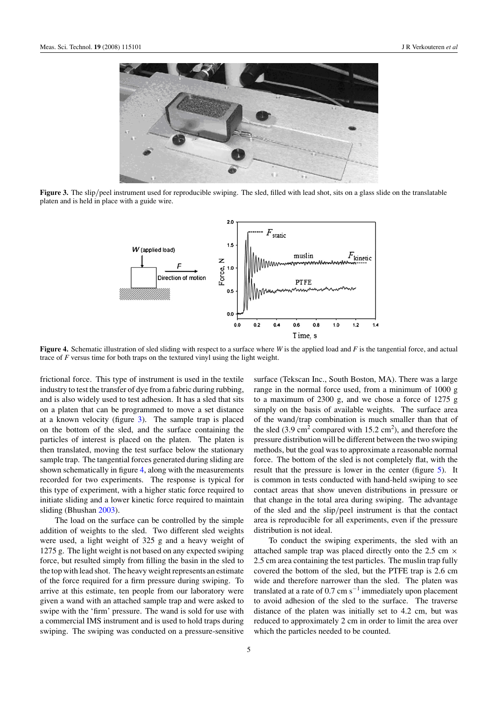

**Figure 3.** The slip/peel instrument used for reproducible swiping. The sled, filled with lead shot, sits on a glass slide on the translatable platen and is held in place with a guide wire.



**Figure 4.** Schematic illustration of sled sliding with respect to a surface where *W* is the applied load and *F* is the tangential force, and actual trace of *F* versus time for both traps on the textured vinyl using the light weight.

frictional force. This type of instrument is used in the textile industry to test the transfer of dye from a fabric during rubbing, and is also widely used to test adhesion. It has a sled that sits on a platen that can be programmed to move a set distance at a known velocity (figure 3). The sample trap is placed on the bottom of the sled, and the surface containing the particles of interest is placed on the platen. The platen is then translated, moving the test surface below the stationary sample trap. The tangential forces generated during sliding are shown schematically in figure 4, along with the measurements recorded for two experiments. The response is typical for this type of experiment, with a higher static force required to initiate sliding and a lower kinetic force required to maintain sliding (Bhushan [2003](#page-11-0)).

The load on the surface can be controlled by the simple addition of weights to the sled. Two different sled weights were used, a light weight of 325 g and a heavy weight of 1275 g. The light weight is not based on any expected swiping force, but resulted simply from filling the basin in the sled to the top with lead shot. The heavy weight represents an estimate of the force required for a firm pressure during swiping. To arrive at this estimate, ten people from our laboratory were given a wand with an attached sample trap and were asked to swipe with the 'firm' pressure. The wand is sold for use with a commercial IMS instrument and is used to hold traps during swiping. The swiping was conducted on a pressure-sensitive surface (Tekscan Inc., South Boston, MA). There was a large range in the normal force used, from a minimum of 1000 g to a maximum of 2300 g, and we chose a force of 1275 g simply on the basis of available weights. The surface area of the wand*/*trap combination is much smaller than that of the sled  $(3.9 \text{ cm}^2 \text{ compared with } 15.2 \text{ cm}^2)$ , and therefore the pressure distribution will be different between the two swiping methods, but the goal was to approximate a reasonable normal force. The bottom of the sled is not completely flat, with the result that the pressure is lower in the center (figure [5\)](#page-5-0). It is common in tests conducted with hand-held swiping to see contact areas that show uneven distributions in pressure or that change in the total area during swiping. The advantage of the sled and the slip*/*peel instrument is that the contact area is reproducible for all experiments, even if the pressure distribution is not ideal.

To conduct the swiping experiments, the sled with an attached sample trap was placed directly onto the 2.5 cm  $\times$ 2.5 cm area containing the test particles. The muslin trap fully covered the bottom of the sled, but the PTFE trap is 2.6 cm wide and therefore narrower than the sled. The platen was translated at a rate of 0.7 cm s<sup> $-1$ </sup> immediately upon placement to avoid adhesion of the sled to the surface. The traverse distance of the platen was initially set to 4.2 cm, but was reduced to approximately 2 cm in order to limit the area over which the particles needed to be counted.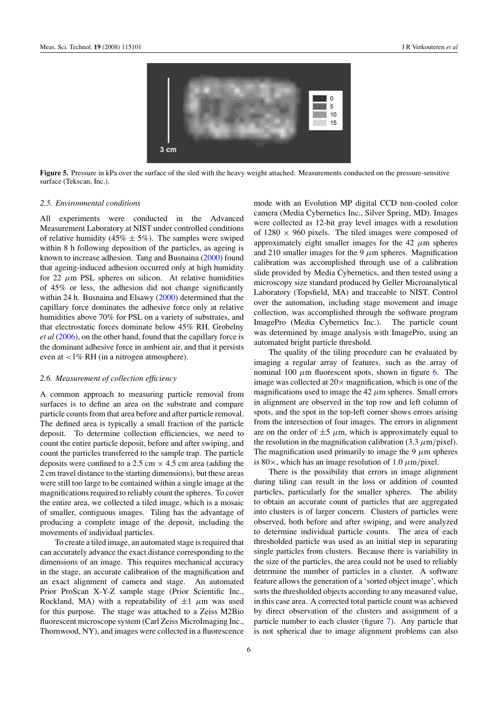<span id="page-5-0"></span>

**Figure 5.** Pressure in kPa over the surface of the sled with the heavy weight attached. Measurements conducted on the pressure-sensitive surface (Tekscan, Inc.).

#### *2.5. Environmental conditions*

All experiments were conducted in the Advanced Measurement Laboratory at NIST under controlled conditions of relative humidity (45%  $\pm$  5%). The samples were swiped within 8 h following deposition of the particles, as ageing is known to increase adhesion. Tang and Busnaina [\(2000](#page-11-0)) found that ageing-induced adhesion occurred only at high humidity for 22  $\mu$ m PSL spheres on silicon. At relative humidities of 45% or less, the adhesion did not change significantly within 24 h. Busnaina and Elsawy [\(2000\)](#page-11-0) determined that the capillary force dominates the adhesive force only at relative humidities above 70% for PSL on a variety of substrates, and that electrostatic forces dominate below 45% RH. Grobelny *et al* [\(2006](#page-11-0)), on the other hand, found that the capillary force is the dominant adhesive force in ambient air, and that it persists even at *<*1% RH (in a nitrogen atmosphere).

#### *2.6. Measurement of collection efficiency*

A common approach to measuring particle removal from surfaces is to define an area on the substrate and compare particle counts from that area before and after particle removal. The defined area is typically a small fraction of the particle deposit. To determine collection efficiencies, we need to count the entire particle deposit, before and after swiping, and count the particles transferred to the sample trap. The particle deposits were confined to a 2.5 cm  $\times$  4.5 cm area (adding the 2 cm travel distance to the starting dimensions), but these areas were still too large to be contained within a single image at the magnifications required to reliably count the spheres. To cover the entire area, we collected a tiled image, which is a mosaic of smaller, contiguous images. Tiling has the advantage of producing a complete image of the deposit, including the movements of individual particles.

To create a tiled image, an automated stage is required that can accurately advance the exact distance corresponding to the dimensions of an image. This requires mechanical accuracy in the stage, an accurate calibration of the magnification and an exact alignment of camera and stage. An automated Prior ProScan X-Y-Z sample stage (Prior Scientific Inc., Rockland, MA) with a repeatability of  $\pm 1$   $\mu$ m was used for this purpose. The stage was attached to a Zeiss M2Bio fluorescent microscope system (Carl Zeiss MicroImaging Inc., Thornwood, NY), and images were collected in a fluorescence mode with an Evolution MP digital CCD non-cooled color camera (Media Cybernetics Inc., Silver Spring, MD). Images were collected as 12-bit gray level images with a resolution of  $1280 \times 960$  pixels. The tiled images were composed of approximately eight smaller images for the 42 *μ*m spheres and 210 smaller images for the 9  $\mu$ m spheres. Magnification calibration was accomplished through use of a calibration slide provided by Media Cybernetics, and then tested using a microscopy size standard produced by Geller Microanalytical Laboratory (Topsfield, MA) and traceable to NIST. Control over the automation, including stage movement and image collection, was accomplished through the software program ImagePro (Media Cybernetics Inc.). The particle count was determined by image analysis with ImagePro, using an automated bright particle threshold.

The quality of the tiling procedure can be evaluated by imaging a regular array of features, such as the array of nominal 100  $\mu$ m fluorescent spots, shown in figure [6.](#page-6-0) The image was collected at  $20 \times$  magnification, which is one of the magnifications used to image the  $42 \mu m$  spheres. Small errors in alignment are observed in the top row and left column of spots, and the spot in the top-left corner shows errors arising from the intersection of four images. The errors in alignment are on the order of  $\pm 5 \mu$ m, which is approximately equal to the resolution in the magnification calibration (3.3 *μ*m*/*pixel). The magnification used primarily to image the 9  $\mu$ m spheres is 80 $\times$ , which has an image resolution of 1.0  $\mu$ m/pixel.

There is the possibility that errors in image alignment during tiling can result in the loss or addition of counted particles, particularly for the smaller spheres. The ability to obtain an accurate count of particles that are aggregated into clusters is of larger concern. Clusters of particles were observed, both before and after swiping, and were analyzed to determine individual particle counts. The area of each thresholded particle was used as an initial step in separating single particles from clusters. Because there is variability in the size of the particles, the area could not be used to reliably determine the number of particles in a cluster. A software feature allows the generation of a 'sorted object image', which sorts the thresholded objects according to any measured value, in this case area. A corrected total particle count was achieved by direct observation of the clusters and assignment of a particle number to each cluster (figure [7\)](#page-6-0). Any particle that is not spherical due to image alignment problems can also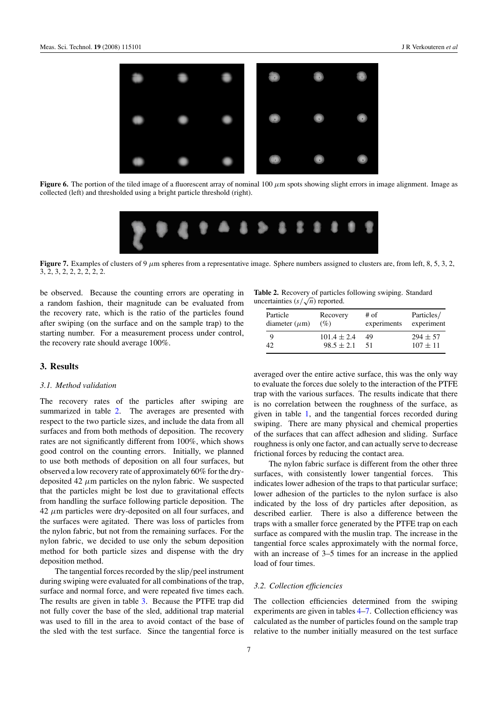<span id="page-6-0"></span>

**Figure 6.** The portion of the tiled image of a fluorescent array of nominal 100 *μ*m spots showing slight errors in image alignment. Image as collected (left) and thresholded using a bright particle threshold (right).



**Figure 7.** Examples of clusters of 9 *μ*m spheres from a representative image. Sphere numbers assigned to clusters are, from left, 8, 5, 3, 2, 3, 2, 3, 2, 2, 2, 2, 2, 2.

be observed. Because the counting errors are operating in a random fashion, their magnitude can be evaluated from the recovery rate, which is the ratio of the particles found after swiping (on the surface and on the sample trap) to the starting number. For a measurement process under control, the recovery rate should average 100%.

#### **3. Results**

#### *3.1. Method validation*

The recovery rates of the particles after swiping are summarized in table 2. The averages are presented with respect to the two particle sizes, and include the data from all surfaces and from both methods of deposition. The recovery rates are not significantly different from 100%, which shows good control on the counting errors. Initially, we planned to use both methods of deposition on all four surfaces, but observed a low recovery rate of approximately 60% for the drydeposited 42 *μ*m particles on the nylon fabric. We suspected that the particles might be lost due to gravitational effects from handling the surface following particle deposition. The  $42 \mu$ m particles were dry-deposited on all four surfaces, and the surfaces were agitated. There was loss of particles from the nylon fabric, but not from the remaining surfaces. For the nylon fabric, we decided to use only the sebum deposition method for both particle sizes and dispense with the dry deposition method.

The tangential forces recorded by the slip*/*peel instrument during swiping were evaluated for all combinations of the trap, surface and normal force, and were repeated five times each. The results are given in table [3.](#page-7-0) Because the PTFE trap did not fully cover the base of the sled, additional trap material was used to fill in the area to avoid contact of the base of the sled with the test surface. Since the tangential force is

| Table 2. Recovery of particles following swiping. Standard |  |  |
|------------------------------------------------------------|--|--|
| uncertainties $(s/\sqrt{n})$ reported.                     |  |  |

| Particle           | Recovery        | # of        | Particles/   |
|--------------------|-----------------|-------------|--------------|
| diameter $(\mu m)$ | (%)             | experiments | experiment   |
| Q                  | $101.4 \pm 2.4$ | 49          | $294 \pm 57$ |
|                    | $98.5 \pm 2.1$  | 51          | $107 \pm 11$ |

averaged over the entire active surface, this was the only way to evaluate the forces due solely to the interaction of the PTFE trap with the various surfaces. The results indicate that there is no correlation between the roughness of the surface, as given in table [1,](#page-3-0) and the tangential forces recorded during swiping. There are many physical and chemical properties of the surfaces that can affect adhesion and sliding. Surface roughness is only one factor, and can actually serve to decrease frictional forces by reducing the contact area.

The nylon fabric surface is different from the other three surfaces, with consistently lower tangential forces. This indicates lower adhesion of the traps to that particular surface; lower adhesion of the particles to the nylon surface is also indicated by the loss of dry particles after deposition, as described earlier. There is also a difference between the traps with a smaller force generated by the PTFE trap on each surface as compared with the muslin trap. The increase in the tangential force scales approximately with the normal force, with an increase of 3–5 times for an increase in the applied load of four times.

#### *3.2. Collection efficiencies*

The collection efficiencies determined from the swiping experiments are given in tables [4](#page-9-0)[–7.](#page-10-0) Collection efficiency was calculated as the number of particles found on the sample trap relative to the number initially measured on the test surface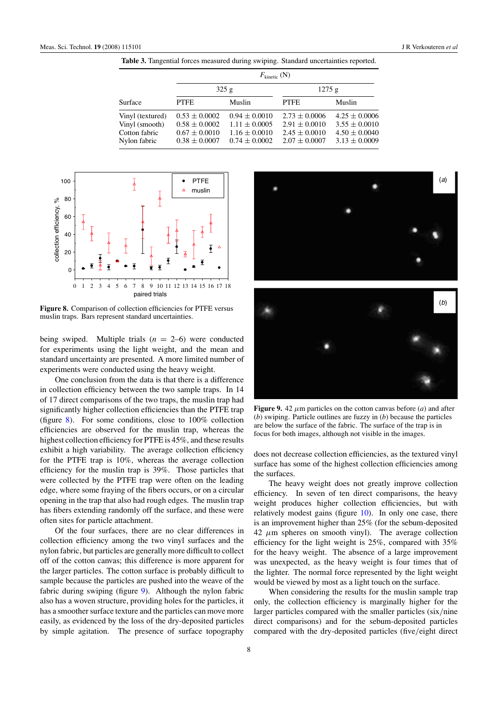<span id="page-7-0"></span>

|  |  |  |  |  |  |  | Table 3. Tangential forces measured during swiping. Standard uncertainties reported. |  |
|--|--|--|--|--|--|--|--------------------------------------------------------------------------------------|--|
|--|--|--|--|--|--|--|--------------------------------------------------------------------------------------|--|

|                                                                     |                                                                                  | $F_{\text{kinetic}}$ (N)                                                         |                                                                                  |                                                                                  |  |  |  |
|---------------------------------------------------------------------|----------------------------------------------------------------------------------|----------------------------------------------------------------------------------|----------------------------------------------------------------------------------|----------------------------------------------------------------------------------|--|--|--|
|                                                                     | 325g                                                                             |                                                                                  | 1275g                                                                            |                                                                                  |  |  |  |
| Surface                                                             | <b>PTFE</b>                                                                      | Muslin                                                                           | <b>PTFE</b>                                                                      | Muslin                                                                           |  |  |  |
| Vinyl (textured)<br>Vinyl (smooth)<br>Cotton fabric<br>Nylon fabric | $0.53 \pm 0.0002$<br>$0.58 \pm 0.0002$<br>$0.67 \pm 0.0010$<br>$0.38 \pm 0.0007$ | $0.94 \pm 0.0010$<br>$1.11 \pm 0.0005$<br>$1.16 \pm 0.0010$<br>$0.74 \pm 0.0002$ | $2.73 \pm 0.0006$<br>$2.91 \pm 0.0010$<br>$2.45 \pm 0.0010$<br>$2.07 \pm 0.0007$ | $4.25 \pm 0.0006$<br>$3.55 \pm 0.0010$<br>$4.50 \pm 0.0040$<br>$3.13 \pm 0.0009$ |  |  |  |



**Figure 8.** Comparison of collection efficiencies for PTFE versus muslin traps. Bars represent standard uncertainties.

being swiped. Multiple trials  $(n = 2-6)$  were conducted for experiments using the light weight, and the mean and standard uncertainty are presented. A more limited number of experiments were conducted using the heavy weight.

One conclusion from the data is that there is a difference in collection efficiency between the two sample traps. In 14 of 17 direct comparisons of the two traps, the muslin trap had significantly higher collection efficiencies than the PTFE trap (figure 8). For some conditions, close to 100% collection efficiencies are observed for the muslin trap, whereas the highest collection efficiency for PTFE is 45%, and these results exhibit a high variability. The average collection efficiency for the PTFE trap is 10%, whereas the average collection efficiency for the muslin trap is 39%. Those particles that were collected by the PTFE trap were often on the leading edge, where some fraying of the fibers occurs, or on a circular opening in the trap that also had rough edges. The muslin trap has fibers extending randomly off the surface, and these were often sites for particle attachment.

Of the four surfaces, there are no clear differences in collection efficiency among the two vinyl surfaces and the nylon fabric, but particles are generally more difficult to collect off of the cotton canvas; this difference is more apparent for the larger particles. The cotton surface is probably difficult to sample because the particles are pushed into the weave of the fabric during swiping (figure 9). Although the nylon fabric also has a woven structure, providing holes for the particles, it has a smoother surface texture and the particles can move more easily, as evidenced by the loss of the dry-deposited particles by simple agitation. The presence of surface topography



**Figure 9.** 42  $\mu$ m particles on the cotton canvas before (*a*) and after (*b*) swiping. Particle outlines are fuzzy in (*b*) because the particles are below the surface of the fabric. The surface of the trap is in focus for both images, although not visible in the images.

does not decrease collection efficiencies, as the textured vinyl surface has some of the highest collection efficiencies among the surfaces.

The heavy weight does not greatly improve collection efficiency. In seven of ten direct comparisons, the heavy weight produces higher collection efficiencies, but with relatively modest gains (figure [10\)](#page-8-0). In only one case, there is an improvement higher than 25% (for the sebum-deposited  $42 \mu m$  spheres on smooth vinyl). The average collection efficiency for the light weight is 25%, compared with 35% for the heavy weight. The absence of a large improvement was unexpected, as the heavy weight is four times that of the lighter. The normal force represented by the light weight would be viewed by most as a light touch on the surface.

When considering the results for the muslin sample trap only, the collection efficiency is marginally higher for the larger particles compared with the smaller particles (six*/*nine direct comparisons) and for the sebum-deposited particles compared with the dry-deposited particles (five*/*eight direct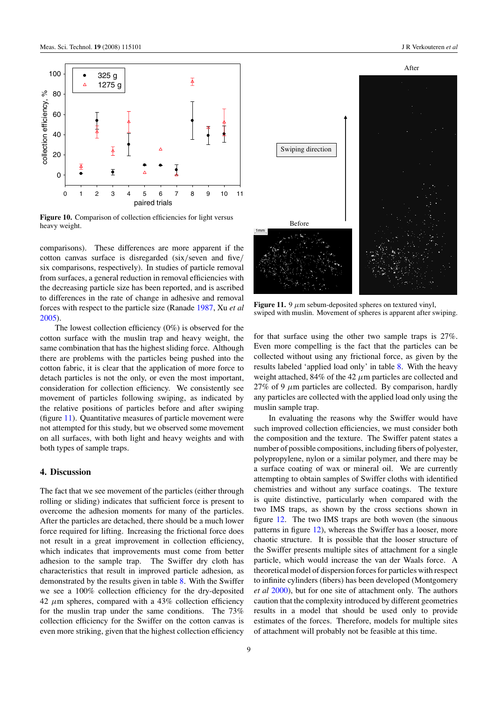

<span id="page-8-0"></span>

**Figure 10.** Comparison of collection efficiencies for light versus heavy weight.

comparisons). These differences are more apparent if the cotton canvas surface is disregarded (six*/*seven and five*/* six comparisons, respectively). In studies of particle removal from surfaces, a general reduction in removal efficiencies with the decreasing particle size has been reported, and is ascribed to differences in the rate of change in adhesive and removal forces with respect to the particle size (Ranade [1987](#page-11-0), Xu *et al* [2005](#page-11-0)).

The lowest collection efficiency (0%) is observed for the cotton surface with the muslin trap and heavy weight, the same combination that has the highest sliding force. Although there are problems with the particles being pushed into the cotton fabric, it is clear that the application of more force to detach particles is not the only, or even the most important, consideration for collection efficiency. We consistently see movement of particles following swiping, as indicated by the relative positions of particles before and after swiping (figure 11). Quantitative measures of particle movement were not attempted for this study, but we observed some movement on all surfaces, with both light and heavy weights and with both types of sample traps.

## **4. Discussion**

The fact that we see movement of the particles (either through rolling or sliding) indicates that sufficient force is present to overcome the adhesion moments for many of the particles. After the particles are detached, there should be a much lower force required for lifting. Increasing the frictional force does not result in a great improvement in collection efficiency, which indicates that improvements must come from better adhesion to the sample trap. The Swiffer dry cloth has characteristics that result in improved particle adhesion, as demonstrated by the results given in table [8.](#page-10-0) With the Swiffer we see a 100% collection efficiency for the dry-deposited  $42 \mu m$  spheres, compared with a  $43\%$  collection efficiency for the muslin trap under the same conditions. The 73% collection efficiency for the Swiffer on the cotton canvas is even more striking, given that the highest collection efficiency



**Figure 11.** 9  $\mu$ m sebum-deposited spheres on textured vinyl, swiped with muslin. Movement of spheres is apparent after swiping.

for that surface using the other two sample traps is 27%. Even more compelling is the fact that the particles can be collected without using any frictional force, as given by the results labeled 'applied load only' in table [8.](#page-10-0) With the heavy weight attached, 84% of the 42 *μ*m particles are collected and 27% of 9 *μ*m particles are collected. By comparison, hardly any particles are collected with the applied load only using the muslin sample trap.

In evaluating the reasons why the Swiffer would have such improved collection efficiencies, we must consider both the composition and the texture. The Swiffer patent states a number of possible compositions, including fibers of polyester, polypropylene, nylon or a similar polymer, and there may be a surface coating of wax or mineral oil. We are currently attempting to obtain samples of Swiffer cloths with identified chemistries and without any surface coatings. The texture is quite distinctive, particularly when compared with the two IMS traps, as shown by the cross sections shown in figure [12.](#page-9-0) The two IMS traps are both woven (the sinuous patterns in figure [12\)](#page-9-0), whereas the Swiffer has a looser, more chaotic structure. It is possible that the looser structure of the Swiffer presents multiple sites of attachment for a single particle, which would increase the van der Waals force. A theoretical model of dispersion forces for particles with respect to infinite cylinders (fibers) has been developed (Montgomery *et al* [2000](#page-11-0)), but for one site of attachment only. The authors caution that the complexity introduced by different geometries results in a model that should be used only to provide estimates of the forces. Therefore, models for multiple sites of attachment will probably not be feasible at this time.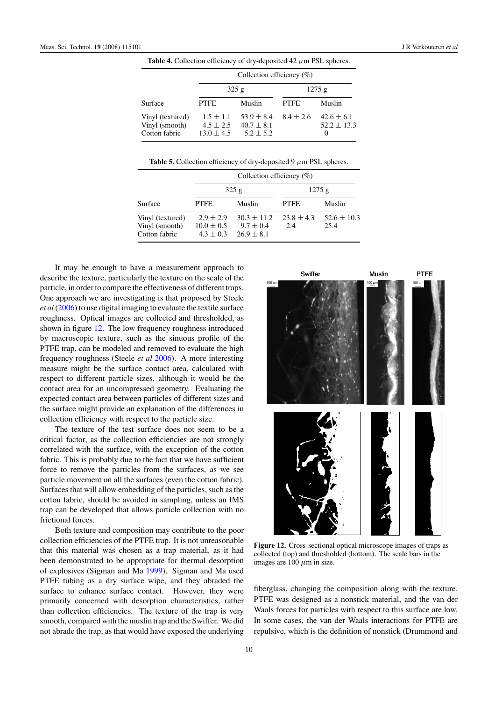<span id="page-9-0"></span>

|                                                     |                                                  | Collection efficiency $(\%)$                      |               |                                               |  |  |  |
|-----------------------------------------------------|--------------------------------------------------|---------------------------------------------------|---------------|-----------------------------------------------|--|--|--|
|                                                     |                                                  | 325g                                              | 1275g         |                                               |  |  |  |
| Surface                                             | <b>PTFE</b>                                      | Muslin                                            | PTFF.         | Muslin                                        |  |  |  |
| Vinyl (textured)<br>Vinyl (smooth)<br>Cotton fabric | $1.5 \pm 1.1$<br>$4.5 \pm 2.5$<br>$13.0 \pm 4.5$ | $53.9 \pm 8.4$<br>$40.7 \pm 8.1$<br>$5.2 \pm 5.2$ | $8.4 \pm 2.6$ | $42.6 \pm 6.1$<br>$52.2 \pm 13.3$<br>$\theta$ |  |  |  |

**Table 4.** Collection efficiency of dry-deposited 42 *μ*m PSL spheres.

**Table 5.** Collection efficiency of dry-deposited 9 *μ*m PSL spheres.

|                                                     | Collection efficiency $(\%)$                     |                                                    |                       |                         |  |  |
|-----------------------------------------------------|--------------------------------------------------|----------------------------------------------------|-----------------------|-------------------------|--|--|
|                                                     |                                                  | 325 g                                              | 1275 g                |                         |  |  |
| Surface                                             | <b>PTFE</b>                                      | Muslin                                             | <b>PTFE</b>           | Muslin                  |  |  |
| Vinyl (textured)<br>Vinyl (smooth)<br>Cotton fabric | $2.9 \pm 2.9$<br>$10.0 \pm 0.5$<br>$4.3 \pm 0.3$ | $30.3 \pm 11.2$<br>$9.7 \pm 0.4$<br>$26.9 \pm 8.1$ | $23.8 \pm 4.3$<br>2.4 | $52.6 \pm 10.3$<br>25.4 |  |  |

It may be enough to have a measurement approach to describe the texture, particularly the texture on the scale of the particle, in order to compare the effectiveness of different traps. One approach we are investigating is that proposed by Steele *et al* [\(2006\)](#page-11-0) to use digital imaging to evaluate the textile surface roughness. Optical images are collected and thresholded, as shown in figure 12. The low frequency roughness introduced by macroscopic texture, such as the sinuous profile of the PTFE trap, can be modeled and removed to evaluate the high frequency roughness (Steele *et al* [2006](#page-11-0)). A more interesting measure might be the surface contact area, calculated with respect to different particle sizes, although it would be the contact area for an uncompressed geometry. Evaluating the expected contact area between particles of different sizes and the surface might provide an explanation of the differences in collection efficiency with respect to the particle size.

The texture of the test surface does not seem to be a critical factor, as the collection efficiencies are not strongly correlated with the surface, with the exception of the cotton fabric. This is probably due to the fact that we have sufficient force to remove the particles from the surfaces, as we see particle movement on all the surfaces (even the cotton fabric). Surfaces that will allow embedding of the particles, such as the cotton fabric, should be avoided in sampling, unless an IMS trap can be developed that allows particle collection with no frictional forces.

Both texture and composition may contribute to the poor collection efficiencies of the PTFE trap. It is not unreasonable that this material was chosen as a trap material, as it had been demonstrated to be appropriate for thermal desorption of explosives (Sigman and Ma [1999](#page-11-0)). Sigman and Ma used PTFE tubing as a dry surface wipe, and they abraded the surface to enhance surface contact. However, they were primarily concerned with desorption characteristics, rather than collection efficiencies. The texture of the trap is very smooth, compared with the muslin trap and the Swiffer. We did not abrade the trap, as that would have exposed the underlying



**Figure 12.** Cross-sectional optical microscope images of traps as collected (top) and thresholded (bottom). The scale bars in the images are 100 *μ*m in size.

fiberglass, changing the composition along with the texture. PTFE was designed as a nonstick material, and the van der Waals forces for particles with respect to this surface are low. In some cases, the van der Waals interactions for PTFE are repulsive, which is the definition of nonstick (Drummond and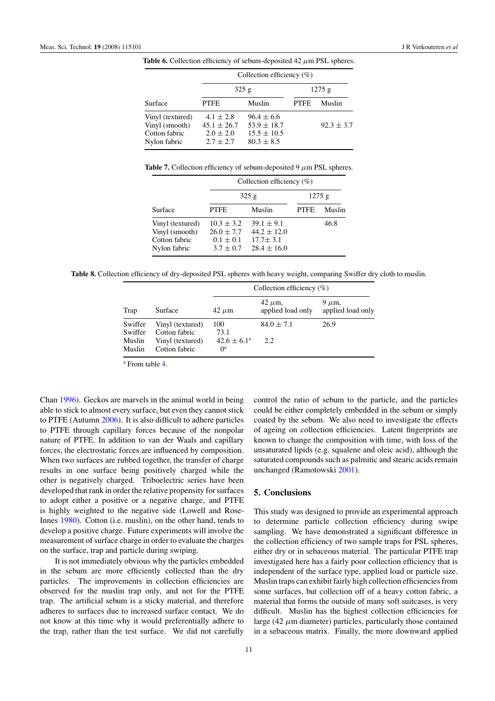|                                                                     |                                                                    | Collection efficiency $(\%)$                                           |             |                |  |  |
|---------------------------------------------------------------------|--------------------------------------------------------------------|------------------------------------------------------------------------|-------------|----------------|--|--|
|                                                                     |                                                                    | 325g                                                                   | $1275$ g    |                |  |  |
| Surface                                                             | <b>PTFE</b>                                                        | Muslin                                                                 | <b>PTFE</b> | Muslin         |  |  |
| Vinyl (textured)<br>Vinyl (smooth)<br>Cotton fabric<br>Nylon fabric | $4.1 \pm 2.8$<br>$45.1 \pm 26.7$<br>$2.0 \pm 2.0$<br>$2.7 \pm 2.7$ | $96.4 \pm 6.6$<br>$53.9 \pm 18.7$<br>$15.5 \pm 10.5$<br>$80.3 \pm 8.5$ |             | $92.3 \pm 3.7$ |  |  |

<span id="page-10-0"></span>**Table 6.** Collection efficiency of sebum-deposited 42 *μ*m PSL spheres.

**Table 7.** Collection efficiency of sebum-deposited 9 *μ*m PSL spheres.

|                                                                     | Collection efficiency $(\%)$                                       |                                                                        |             |        |  |  |
|---------------------------------------------------------------------|--------------------------------------------------------------------|------------------------------------------------------------------------|-------------|--------|--|--|
|                                                                     |                                                                    | 325g                                                                   |             |        |  |  |
| Surface                                                             | <b>PTFE</b>                                                        | Muslin                                                                 | <b>PTFF</b> | Muslin |  |  |
| Vinyl (textured)<br>Vinyl (smooth)<br>Cotton fabric<br>Nylon fabric | $10.3 \pm 3.2$<br>$26.0 \pm 7.7$<br>$0.1 \pm 0.1$<br>$3.7 \pm 0.7$ | $39.1 \pm 9.1$<br>$44.2 \pm 12.0$<br>$17.7 \pm 3.1$<br>$28.4 \pm 16.0$ |             | 46.8   |  |  |

**Table 8.** Collection efficiency of dry-deposited PSL spheres with heavy weight, comparing Swiffer dry cloth to muslin.

|                    |                                   | Collection efficiency $(\%)$             |                                   |                                  |  |
|--------------------|-----------------------------------|------------------------------------------|-----------------------------------|----------------------------------|--|
| Trap               | Surface                           | $42 \mu m$                               | $42 \mu m$ ,<br>applied load only | $9 \mu m$ ,<br>applied load only |  |
| Swiffer<br>Swiffer | Vinyl (textured)<br>Cotton fabric | 100<br>73.1                              | $84.0 \pm 7.1$                    | 26.9                             |  |
| Muslin<br>Muslin   | Vinyl (textured)<br>Cotton fabric | $42.6 \pm 6.1^{\circ}$<br>$\mathbb{O}^a$ | 2.2.                              |                                  |  |

<sup>a</sup> From table [4.](#page-9-0)

Chan [1996](#page-11-0)). Geckos are marvels in the animal world in being able to stick to almost every surface, but even they cannot stick to PTFE (Autumn [2006\)](#page-11-0). It is also difficult to adhere particles to PTFE through capillary forces because of the nonpolar nature of PTFE. In addition to van der Waals and capillary forces, the electrostatic forces are influenced by composition. When two surfaces are rubbed together, the transfer of charge results in one surface being positively charged while the other is negatively charged. Triboelectric series have been developed that rank in order the relative propensity for surfaces to adopt either a positive or a negative charge, and PTFE is highly weighted to the negative side (Lowell and Rose-Innes [1980](#page-11-0)). Cotton (i.e. muslin), on the other hand, tends to develop a positive charge. Future experiments will involve the measurement of surface charge in order to evaluate the charges on the surface, trap and particle during swiping.

It is not immediately obvious why the particles embedded in the sebum are more efficiently collected than the dry particles. The improvements in collection efficiencies are observed for the muslin trap only, and not for the PTFE trap. The artificial sebum is a sticky material, and therefore adheres to surfaces due to increased surface contact. We do not know at this time why it would preferentially adhere to the trap, rather than the test surface. We did not carefully control the ratio of sebum to the particle, and the particles could be either completely embedded in the sebum or simply coated by the sebum. We also need to investigate the effects of ageing on collection efficiencies. Latent fingerprints are known to change the composition with time, with loss of the unsaturated lipids (e.g. squalene and oleic acid), although the saturated compounds such as palmitic and stearic acids remain unchanged (Ramotowski [2001\)](#page-11-0).

#### **5. Conclusions**

This study was designed to provide an experimental approach to determine particle collection efficiency during swipe sampling. We have demonstrated a significant difference in the collection efficiency of two sample traps for PSL spheres, either dry or in sebaceous material. The particular PTFE trap investigated here has a fairly poor collection efficiency that is independent of the surface type, applied load or particle size. Muslin traps can exhibit fairly high collection efficiencies from some surfaces, but collection off of a heavy cotton fabric, a material that forms the outside of many soft suitcases, is very difficult. Muslin has the highest collection efficiencies for large  $(42 \mu m)$  diameter) particles, particularly those contained in a sebaceous matrix. Finally, the more downward applied